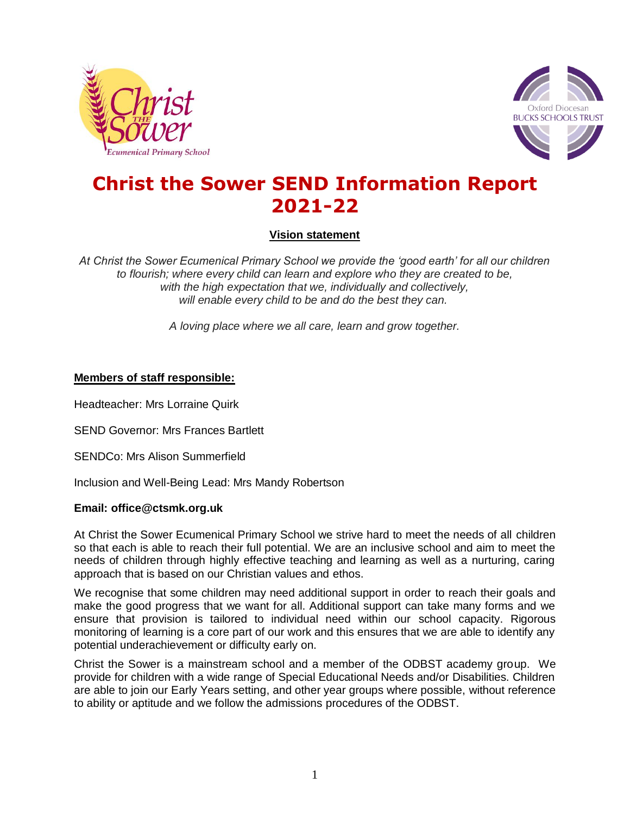



# **Christ the Sower SEND Information Report 2021-22**

**Vision statement**

*At Christ the Sower Ecumenical Primary School we provide the 'good earth' for all our children to flourish; where every child can learn and explore who they are created to be, with the high expectation that we, individually and collectively, will enable every child to be and do the best they can.*

*A loving place where we all care, learn and grow together.*

## **Members of staff responsible:**

Headteacher: Mrs Lorraine Quirk

SEND Governor: Mrs Frances Bartlett

SENDCo: Mrs Alison Summerfield

Inclusion and Well-Being Lead: Mrs Mandy Robertson

### **Email: office@ctsmk.org.uk**

At Christ the Sower Ecumenical Primary School we strive hard to meet the needs of all children so that each is able to reach their full potential. We are an inclusive school and aim to meet the needs of children through highly effective teaching and learning as well as a nurturing, caring approach that is based on our Christian values and ethos.

We recognise that some children may need additional support in order to reach their goals and make the good progress that we want for all. Additional support can take many forms and we ensure that provision is tailored to individual need within our school capacity. Rigorous monitoring of learning is a core part of our work and this ensures that we are able to identify any potential underachievement or difficulty early on.

Christ the Sower is a mainstream school and a member of the ODBST academy group. We provide for children with a wide range of Special Educational Needs and/or Disabilities. Children are able to join our Early Years setting, and other year groups where possible, without reference to ability or aptitude and we follow the admissions procedures of the ODBST.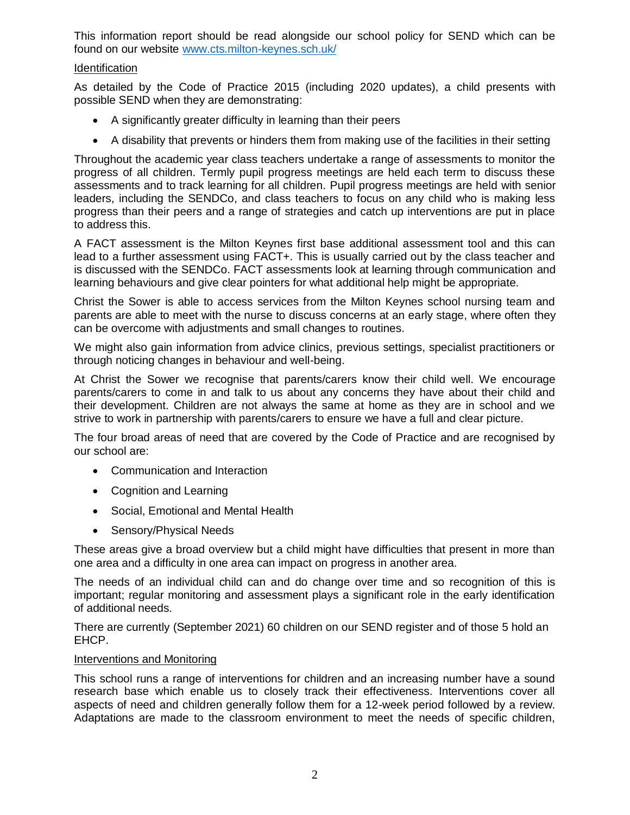This information report should be read alongside our school policy for SEND which can be found on our website [www.cts.milton-keynes.sch.uk/](http://www.cts.milton-keynes.sch.uk/)

# **Identification**

As detailed by the Code of Practice 2015 (including 2020 updates), a child presents with possible SEND when they are demonstrating:

- A significantly greater difficulty in learning than their peers
- A disability that prevents or hinders them from making use of the facilities in their setting

Throughout the academic year class teachers undertake a range of assessments to monitor the progress of all children. Termly pupil progress meetings are held each term to discuss these assessments and to track learning for all children. Pupil progress meetings are held with senior leaders, including the SENDCo, and class teachers to focus on any child who is making less progress than their peers and a range of strategies and catch up interventions are put in place to address this.

A FACT assessment is the Milton Keynes first base additional assessment tool and this can lead to a further assessment using FACT+. This is usually carried out by the class teacher and is discussed with the SENDCo. FACT assessments look at learning through communication and learning behaviours and give clear pointers for what additional help might be appropriate.

Christ the Sower is able to access services from the Milton Keynes school nursing team and parents are able to meet with the nurse to discuss concerns at an early stage, where often they can be overcome with adjustments and small changes to routines.

We might also gain information from advice clinics, previous settings, specialist practitioners or through noticing changes in behaviour and well-being.

At Christ the Sower we recognise that parents/carers know their child well. We encourage parents/carers to come in and talk to us about any concerns they have about their child and their development. Children are not always the same at home as they are in school and we strive to work in partnership with parents/carers to ensure we have a full and clear picture.

The four broad areas of need that are covered by the Code of Practice and are recognised by our school are:

- Communication and Interaction
- Cognition and Learning
- Social, Emotional and Mental Health
- Sensory/Physical Needs

These areas give a broad overview but a child might have difficulties that present in more than one area and a difficulty in one area can impact on progress in another area.

The needs of an individual child can and do change over time and so recognition of this is important; regular monitoring and assessment plays a significant role in the early identification of additional needs.

There are currently (September 2021) 60 children on our SEND register and of those 5 hold an EHCP.

## Interventions and Monitoring

This school runs a range of interventions for children and an increasing number have a sound research base which enable us to closely track their effectiveness. Interventions cover all aspects of need and children generally follow them for a 12-week period followed by a review. Adaptations are made to the classroom environment to meet the needs of specific children,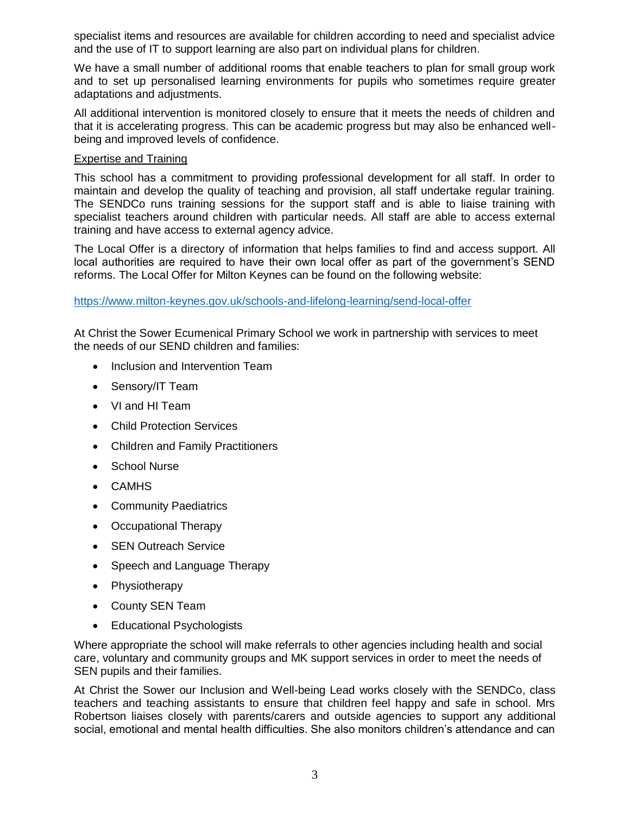specialist items and resources are available for children according to need and specialist advice and the use of IT to support learning are also part on individual plans for children.

We have a small number of additional rooms that enable teachers to plan for small group work and to set up personalised learning environments for pupils who sometimes require greater adaptations and adjustments.

All additional intervention is monitored closely to ensure that it meets the needs of children and that it is accelerating progress. This can be academic progress but may also be enhanced wellbeing and improved levels of confidence.

### Expertise and Training

This school has a commitment to providing professional development for all staff. In order to maintain and develop the quality of teaching and provision, all staff undertake regular training. The SENDCo runs training sessions for the support staff and is able to liaise training with specialist teachers around children with particular needs. All staff are able to access external training and have access to external agency advice.

The Local Offer is a directory of information that helps families to find and access support. All local authorities are required to have their own local offer as part of the government's SEND reforms. The Local Offer for Milton Keynes can be found on the following website:

<https://www.milton-keynes.gov.uk/schools-and-lifelong-learning/send-local-offer>

At Christ the Sower Ecumenical Primary School we work in partnership with services to meet the needs of our SEND children and families:

- Inclusion and Intervention Team
- Sensory/IT Team
- VI and HI Team
- Child Protection Services
- Children and Family Practitioners
- School Nurse
- CAMHS
- Community Paediatrics
- Occupational Therapy
- SEN Outreach Service
- Speech and Language Therapy
- Physiotherapy
- County SEN Team
- Educational Psychologists

Where appropriate the school will make referrals to other agencies including health and social care, voluntary and community groups and MK support services in order to meet the needs of SEN pupils and their families.

At Christ the Sower our Inclusion and Well-being Lead works closely with the SENDCo, class teachers and teaching assistants to ensure that children feel happy and safe in school. Mrs Robertson liaises closely with parents/carers and outside agencies to support any additional social, emotional and mental health difficulties. She also monitors children's attendance and can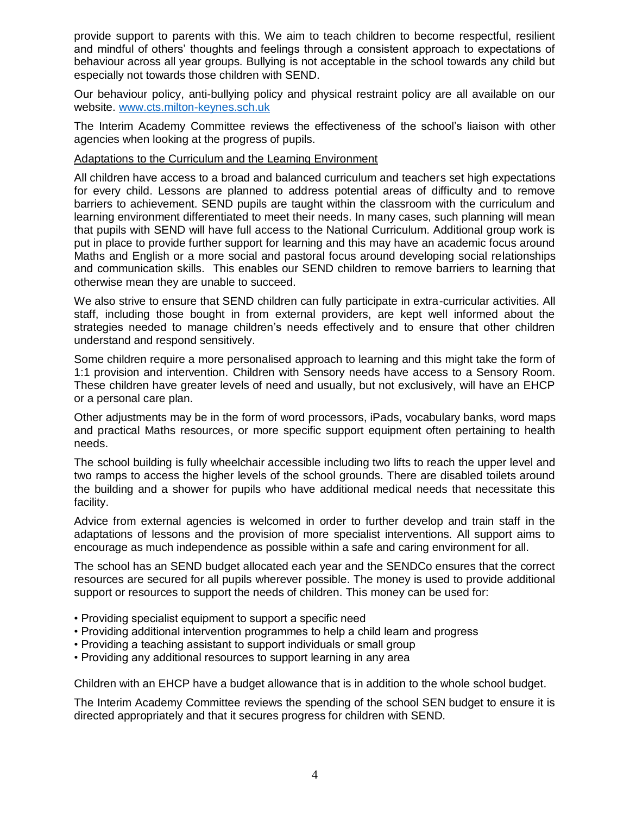provide support to parents with this. We aim to teach children to become respectful, resilient and mindful of others' thoughts and feelings through a consistent approach to expectations of behaviour across all year groups. Bullying is not acceptable in the school towards any child but especially not towards those children with SEND.

Our behaviour policy, anti-bullying policy and physical restraint policy are all available on our website. [www.cts.milton-keynes.sch.uk](http://www.cts.milton-keynes.sch.uk/)

The Interim Academy Committee reviews the effectiveness of the school's liaison with other agencies when looking at the progress of pupils.

## Adaptations to the Curriculum and the Learning Environment

All children have access to a broad and balanced curriculum and teachers set high expectations for every child. Lessons are planned to address potential areas of difficulty and to remove barriers to achievement. SEND pupils are taught within the classroom with the curriculum and learning environment differentiated to meet their needs. In many cases, such planning will mean that pupils with SEND will have full access to the National Curriculum. Additional group work is put in place to provide further support for learning and this may have an academic focus around Maths and English or a more social and pastoral focus around developing social relationships and communication skills. This enables our SEND children to remove barriers to learning that otherwise mean they are unable to succeed.

We also strive to ensure that SEND children can fully participate in extra-curricular activities. All staff, including those bought in from external providers, are kept well informed about the strategies needed to manage children's needs effectively and to ensure that other children understand and respond sensitively.

Some children require a more personalised approach to learning and this might take the form of 1:1 provision and intervention. Children with Sensory needs have access to a Sensory Room. These children have greater levels of need and usually, but not exclusively, will have an EHCP or a personal care plan.

Other adjustments may be in the form of word processors, iPads, vocabulary banks, word maps and practical Maths resources, or more specific support equipment often pertaining to health needs.

The school building is fully wheelchair accessible including two lifts to reach the upper level and two ramps to access the higher levels of the school grounds. There are disabled toilets around the building and a shower for pupils who have additional medical needs that necessitate this facility.

Advice from external agencies is welcomed in order to further develop and train staff in the adaptations of lessons and the provision of more specialist interventions. All support aims to encourage as much independence as possible within a safe and caring environment for all.

The school has an SEND budget allocated each year and the SENDCo ensures that the correct resources are secured for all pupils wherever possible. The money is used to provide additional support or resources to support the needs of children. This money can be used for:

- Providing specialist equipment to support a specific need
- Providing additional intervention programmes to help a child learn and progress
- Providing a teaching assistant to support individuals or small group
- Providing any additional resources to support learning in any area

Children with an EHCP have a budget allowance that is in addition to the whole school budget.

The Interim Academy Committee reviews the spending of the school SEN budget to ensure it is directed appropriately and that it secures progress for children with SEND.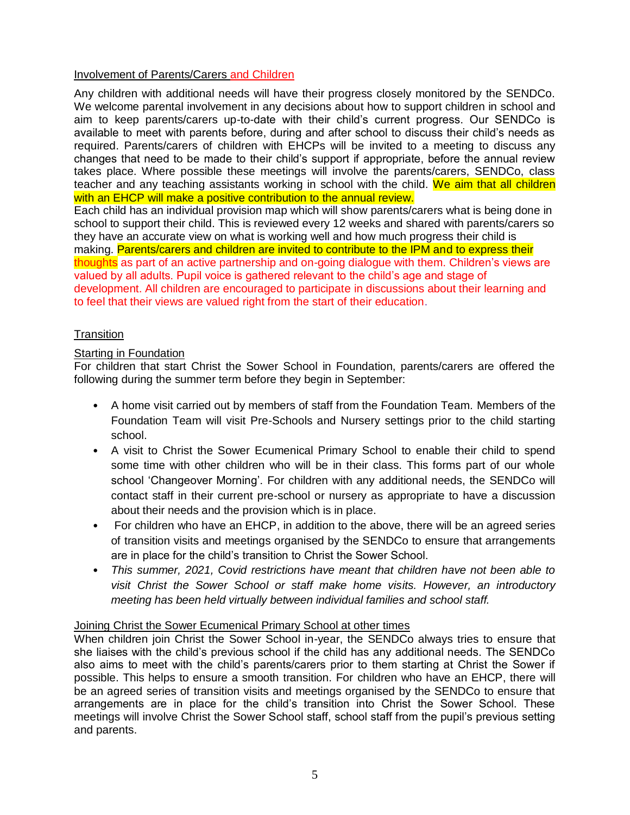## Involvement of Parents/Carers and Children

Any children with additional needs will have their progress closely monitored by the SENDCo. We welcome parental involvement in any decisions about how to support children in school and aim to keep parents/carers up-to-date with their child's current progress. Our SENDCo is available to meet with parents before, during and after school to discuss their child's needs as required. Parents/carers of children with EHCPs will be invited to a meeting to discuss any changes that need to be made to their child's support if appropriate, before the annual review takes place. Where possible these meetings will involve the parents/carers, SENDCo, class teacher and any teaching assistants working in school with the child. We aim that all children with an EHCP will make a positive contribution to the annual review.

Each child has an individual provision map which will show parents/carers what is being done in school to support their child. This is reviewed every 12 weeks and shared with parents/carers so they have an accurate view on what is working well and how much progress their child is making. Parents/carers and children are invited to contribute to the IPM and to express their thoughts as part of an active partnership and on-going dialogue with them. Children's views are valued by all adults. Pupil voice is gathered relevant to the child's age and stage of development. All children are encouraged to participate in discussions about their learning and to feel that their views are valued right from the start of their education.

# **Transition**

# Starting in Foundation

For children that start Christ the Sower School in Foundation, parents/carers are offered the following during the summer term before they begin in September:

- A home visit carried out by members of staff from the Foundation Team. Members of the Foundation Team will visit Pre-Schools and Nursery settings prior to the child starting school.
- A visit to Christ the Sower Ecumenical Primary School to enable their child to spend some time with other children who will be in their class. This forms part of our whole school 'Changeover Morning'. For children with any additional needs, the SENDCo will contact staff in their current pre-school or nursery as appropriate to have a discussion about their needs and the provision which is in place.
- For children who have an EHCP, in addition to the above, there will be an agreed series of transition visits and meetings organised by the SENDCo to ensure that arrangements are in place for the child's transition to Christ the Sower School.
- *This summer, 2021, Covid restrictions have meant that children have not been able to visit Christ the Sower School or staff make home visits. However, an introductory meeting has been held virtually between individual families and school staff.*

# Joining Christ the Sower Ecumenical Primary School at other times

When children join Christ the Sower School in-year, the SENDCo always tries to ensure that she liaises with the child's previous school if the child has any additional needs. The SENDCo also aims to meet with the child's parents/carers prior to them starting at Christ the Sower if possible. This helps to ensure a smooth transition. For children who have an EHCP, there will be an agreed series of transition visits and meetings organised by the SENDCo to ensure that arrangements are in place for the child's transition into Christ the Sower School. These meetings will involve Christ the Sower School staff, school staff from the pupil's previous setting and parents.